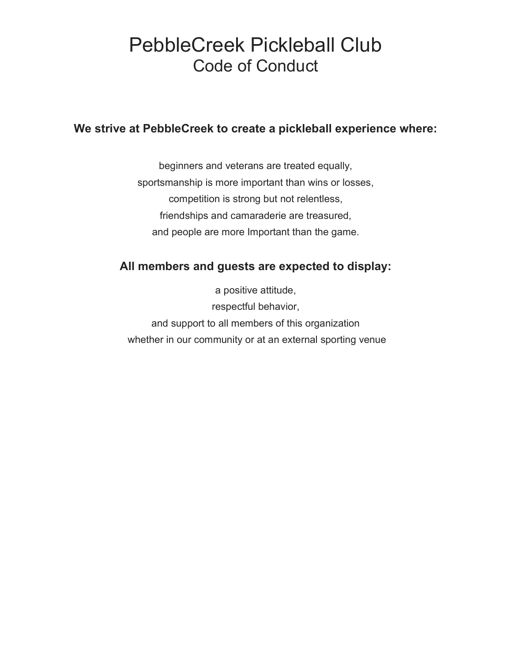# PebbleCreek Pickleball Club Code of Conduct

### We strive at PebbleCreek to create a pickleball experience where:

beginners and veterans are treated equally, sportsmanship is more important than wins or losses, competition is strong but not relentless, friendships and camaraderie are treasured, and people are more Important than the game.

# All members and guests are expected to display:

a positive attitude, respectful behavior, and support to all members of this organization whether in our community or at an external sporting venue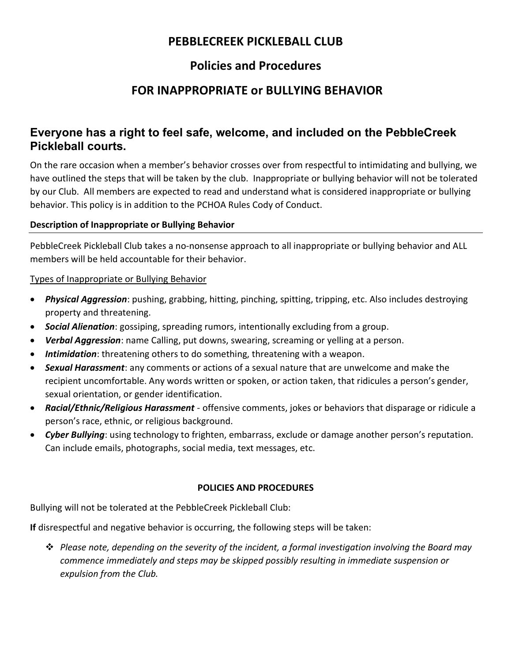#### PEBBLECREEK PICKLEBALL CLUB

# Policies and Procedures

# FOR INAPPROPRIATE or BULLYING BEHAVIOR

### Everyone has a right to feel safe, welcome, and included on the PebbleCreek Pickleball courts.

On the rare occasion when a member's behavior crosses over from respectful to intimidating and bullying, we have outlined the steps that will be taken by the club. Inappropriate or bullying behavior will not be tolerated by our Club. All members are expected to read and understand what is considered inappropriate or bullying behavior. This policy is in addition to the PCHOA Rules Cody of Conduct.

#### Description of Inappropriate or Bullying Behavior

PebbleCreek Pickleball Club takes a no-nonsense approach to all inappropriate or bullying behavior and ALL members will be held accountable for their behavior.

#### Types of Inappropriate or Bullying Behavior

- Physical Aggression: pushing, grabbing, hitting, pinching, spitting, tripping, etc. Also includes destroying property and threatening.
- **Social Alienation:** gossiping, spreading rumors, intentionally excluding from a group.
- Verbal Aggression: name Calling, put downs, swearing, screaming or yelling at a person.
- **Intimidation**: threatening others to do something, threatening with a weapon.
- Sexual Harassment: any comments or actions of a sexual nature that are unwelcome and make the recipient uncomfortable. Any words written or spoken, or action taken, that ridicules a person's gender, sexual orientation, or gender identification.
- Racial/Ethnic/Religious Harassment offensive comments, jokes or behaviors that disparage or ridicule a person's race, ethnic, or religious background.
- Cyber Bullying: using technology to frighten, embarrass, exclude or damage another person's reputation. Can include emails, photographs, social media, text messages, etc.

#### POLICIES AND PROCEDURES

Bullying will not be tolerated at the PebbleCreek Pickleball Club:

If disrespectful and negative behavior is occurring, the following steps will be taken:

 $\hat{\mathbf{v}}$  Please note, depending on the severity of the incident, a formal investigation involving the Board may commence immediately and steps may be skipped possibly resulting in immediate suspension or expulsion from the Club.